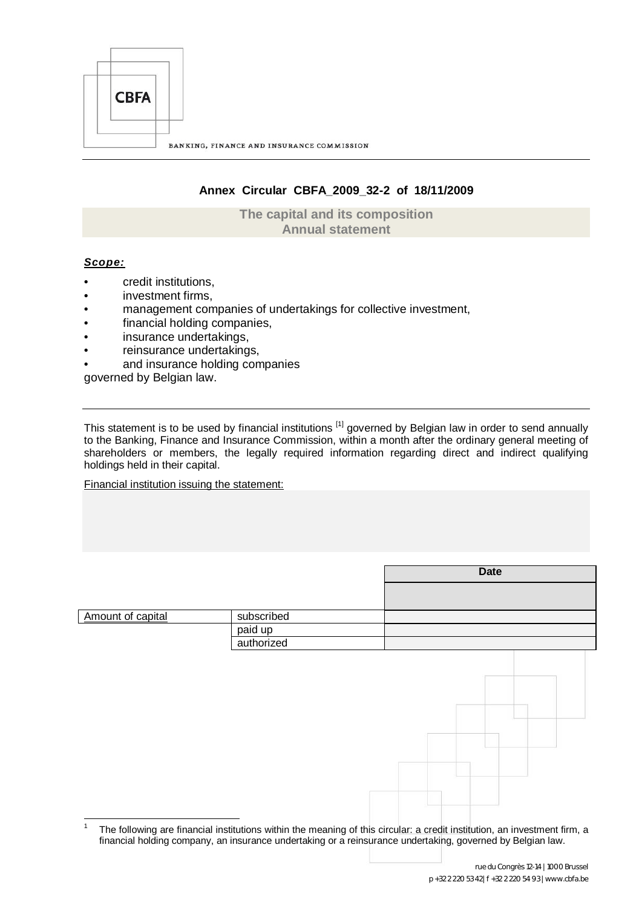

# **Annex Circular CBFA\_2009\_32-2 of 18/11/2009**

**The capital and its composition Annual statement**

# *Scope:*

- credit institutions,
- investment firms,
- management companies of undertakings for collective investment,
- financial holding companies,
- insurance undertakings,
- reinsurance undertakings,
- and insurance holding companies

governed by Belgian law.

This statement is to be used by financial institutions <sup>[1]</sup> governed by Belgian law in order to send annually to the Banking, Finance and Insurance Commission, [wi](#page-0-0)thin a month after the ordinary general meeting of shareholders or members, the legally required information regarding direct and indirect qualifying holdings held in their capital.

Financial institution issuing the statement:

|                   |            | <b>Date</b>                                                                                                             |
|-------------------|------------|-------------------------------------------------------------------------------------------------------------------------|
|                   |            |                                                                                                                         |
| Amount of capital | subscribed |                                                                                                                         |
|                   |            |                                                                                                                         |
|                   | paid up    |                                                                                                                         |
|                   | authorized |                                                                                                                         |
|                   |            |                                                                                                                         |
|                   |            |                                                                                                                         |
|                   |            |                                                                                                                         |
|                   |            |                                                                                                                         |
|                   |            |                                                                                                                         |
|                   |            |                                                                                                                         |
|                   |            |                                                                                                                         |
|                   |            |                                                                                                                         |
|                   |            |                                                                                                                         |
|                   |            |                                                                                                                         |
|                   |            |                                                                                                                         |
|                   |            |                                                                                                                         |
|                   |            |                                                                                                                         |
|                   |            |                                                                                                                         |
| $\mathbf{1}$      |            | The following are financial institutions within the meaning of this simulary a small institution, an investment firm, a |

<span id="page-0-0"></span>The following are financial institutions within the meaning of this circular: a credit institution, an investment firm, a financial holding company, an insurance undertaking or a reinsurance undertaking, governed by Belgian law.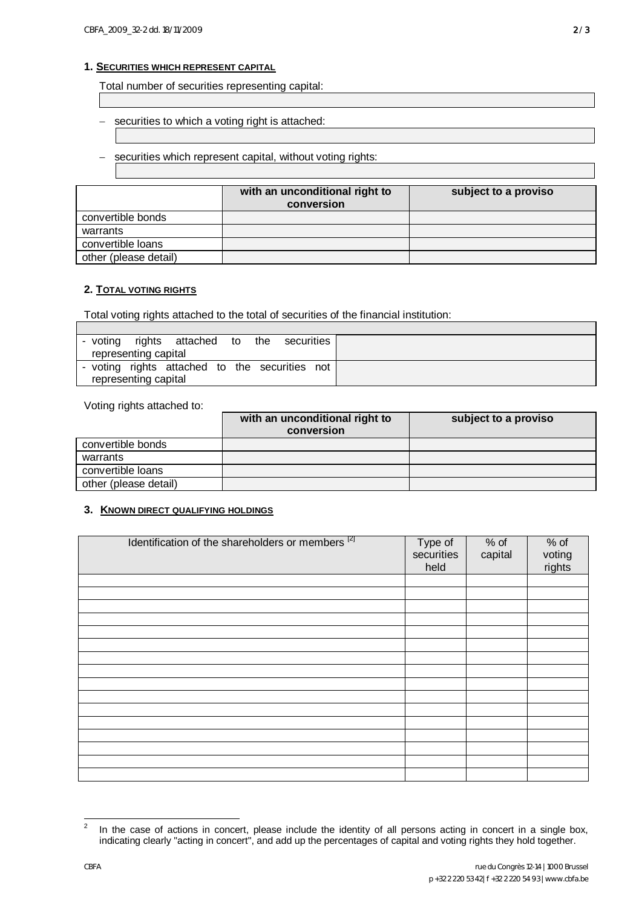# **1. SECURITIES WHICH REPRESENT CAPITAL**

Total number of securities representing capital:

- securities to which a voting right is attached:
- securities which represent capital, without voting rights:

|                       | with an unconditional right to<br>conversion | subject to a proviso |
|-----------------------|----------------------------------------------|----------------------|
| convertible bonds     |                                              |                      |
| warrants              |                                              |                      |
| convertible loans     |                                              |                      |
| other (please detail) |                                              |                      |

### **2. TOTAL VOTING RIGHTS**

Г

Total voting rights attached to the total of securities of the financial institution:

|  |                      | - voting rights attached to the securities |  |     |
|--|----------------------|--------------------------------------------|--|-----|
|  | representing capital |                                            |  |     |
|  |                      | - voting rights attached to the securities |  | not |
|  | representing capital |                                            |  |     |

Voting rights attached to:

|                       | with an unconditional right to<br>conversion | subject to a proviso |
|-----------------------|----------------------------------------------|----------------------|
| convertible bonds     |                                              |                      |
| warrants              |                                              |                      |
| convertible loans     |                                              |                      |
| other (please detail) |                                              |                      |

#### **3. KNOWN DIRECT QUALIFYING HOLDINGS**

| Identification of the shareholders or members [2] | Type of<br>securities<br>held | $%$ of<br>capital | % of<br>voting<br>rights |
|---------------------------------------------------|-------------------------------|-------------------|--------------------------|
|                                                   |                               |                   |                          |
|                                                   |                               |                   |                          |
|                                                   |                               |                   |                          |
|                                                   |                               |                   |                          |
|                                                   |                               |                   |                          |
|                                                   |                               |                   |                          |
|                                                   |                               |                   |                          |
|                                                   |                               |                   |                          |
|                                                   |                               |                   |                          |
|                                                   |                               |                   |                          |
|                                                   |                               |                   |                          |
|                                                   |                               |                   |                          |
|                                                   |                               |                   |                          |
|                                                   |                               |                   |                          |
|                                                   |                               |                   |                          |
|                                                   |                               |                   |                          |

<span id="page-1-0"></span> $\frac{1}{2}$  In the case of actions in concert, please include the identity of all persons acting in concert in a single box, indicating clearly "acting in concert", and add up the percentages of capital and voting rights they hold together.